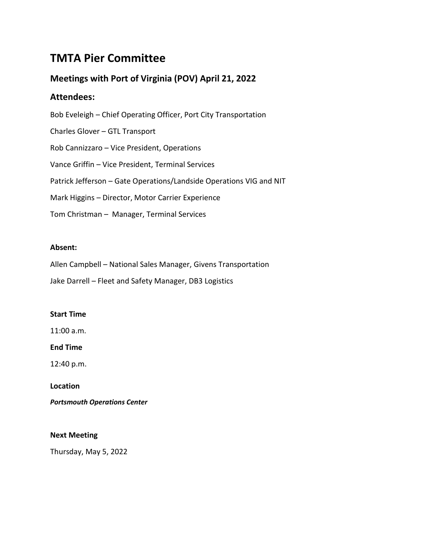# **TMTA Pier Committee**

# **Meetings with Port of Virginia (POV) April 21, 2022**

# **Attendees:**

Bob Eveleigh – Chief Operating Officer, Port City Transportation Charles Glover – GTL Transport Rob Cannizzaro – Vice President, Operations Vance Griffin – Vice President, Terminal Services Patrick Jefferson – Gate Operations/Landside Operations VIG and NIT Mark Higgins – Director, Motor Carrier Experience Tom Christman – Manager, Terminal Services

# **Absent:**

Allen Campbell – National Sales Manager, Givens Transportation

Jake Darrell – Fleet and Safety Manager, DB3 Logistics

# **Start Time**

11:00 a.m.

# **End Time**

12:40 p.m.

# **Location**

*Portsmouth Operations Center*

# **Next Meeting**

Thursday, May 5, 2022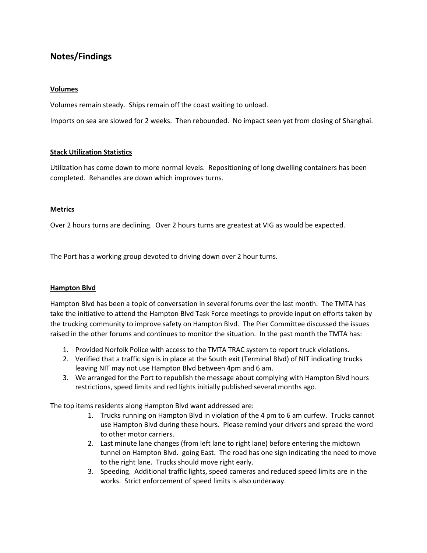# **Notes/Findings**

#### **Volumes**

Volumes remain steady. Ships remain off the coast waiting to unload.

Imports on sea are slowed for 2 weeks. Then rebounded. No impact seen yet from closing of Shanghai.

#### **Stack Utilization Statistics**

Utilization has come down to more normal levels. Repositioning of long dwelling containers has been completed. Rehandles are down which improves turns.

#### **Metrics**

Over 2 hours turns are declining. Over 2 hours turns are greatest at VIG as would be expected.

The Port has a working group devoted to driving down over 2 hour turns.

#### **Hampton Blvd**

Hampton Blvd has been a topic of conversation in several forums over the last month. The TMTA has take the initiative to attend the Hampton Blvd Task Force meetings to provide input on efforts taken by the trucking community to improve safety on Hampton Blvd. The Pier Committee discussed the issues raised in the other forums and continues to monitor the situation. In the past month the TMTA has:

- 1. Provided Norfolk Police with access to the TMTA TRAC system to report truck violations.
- 2. Verified that a traffic sign is in place at the South exit (Terminal Blvd) of NIT indicating trucks leaving NIT may not use Hampton Blvd between 4pm and 6 am.
- 3. We arranged for the Port to republish the message about complying with Hampton Blvd hours restrictions, speed limits and red lights initially published several months ago.

The top items residents along Hampton Blvd want addressed are:

- 1. Trucks running on Hampton Blvd in violation of the 4 pm to 6 am curfew. Trucks cannot use Hampton Blvd during these hours. Please remind your drivers and spread the word to other motor carriers.
- 2. Last minute lane changes (from left lane to right lane) before entering the midtown tunnel on Hampton Blvd. going East. The road has one sign indicating the need to move to the right lane. Trucks should move right early.
- 3. Speeding. Additional traffic lights, speed cameras and reduced speed limits are in the works. Strict enforcement of speed limits is also underway.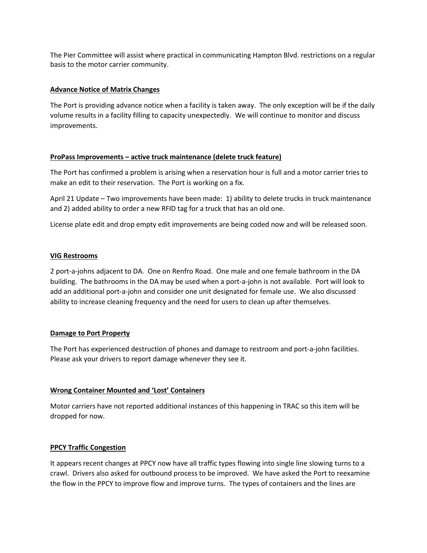The Pier Committee will assist where practical in communicating Hampton Blvd. restrictions on a regular basis to the motor carrier community.

#### **Advance Notice of Matrix Changes**

The Port is providing advance notice when a facility is taken away. The only exception will be if the daily volume results in a facility filling to capacity unexpectedly. We will continue to monitor and discuss improvements.

#### **ProPass Improvements – active truck maintenance (delete truck feature)**

The Port has confirmed a problem is arising when a reservation hour is full and a motor carrier tries to make an edit to their reservation. The Port is working on a fix.

April 21 Update – Two improvements have been made: 1) ability to delete trucks in truck maintenance and 2) added ability to order a new RFID tag for a truck that has an old one.

License plate edit and drop empty edit improvements are being coded now and will be released soon.

#### **VIG Restrooms**

2 port-a-johns adjacent to DA. One on Renfro Road. One male and one female bathroom in the DA building. The bathrooms in the DA may be used when a port-a-john is not available. Port will look to add an additional port-a-john and consider one unit designated for female use. We also discussed ability to increase cleaning frequency and the need for users to clean up after themselves.

#### **Damage to Port Property**

The Port has experienced destruction of phones and damage to restroom and port-a-john facilities. Please ask your drivers to report damage whenever they see it.

#### **Wrong Container Mounted and 'Lost' Containers**

Motor carriers have not reported additional instances of this happening in TRAC so this item will be dropped for now.

#### **PPCY Traffic Congestion**

It appears recent changes at PPCY now have all traffic types flowing into single line slowing turns to a crawl. Drivers also asked for outbound process to be improved. We have asked the Port to reexamine the flow in the PPCY to improve flow and improve turns. The types of containers and the lines are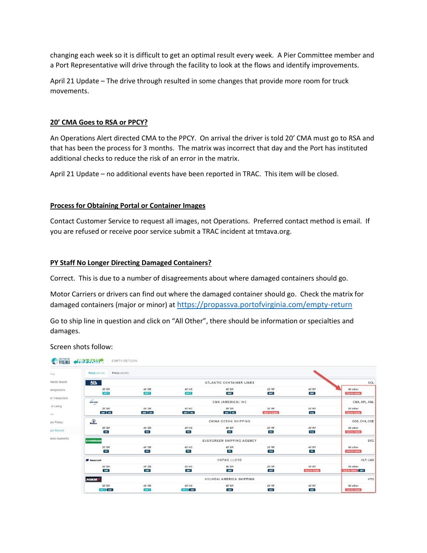changing each week so it is difficult to get an optimal result every week. A Pier Committee member and a Port Representative will drive through the facility to look at the flows and identify improvements.

April 21 Update – The drive through resulted in some changes that provide more room for truck movements.

#### **20' CMA Goes to RSA or PPCY?**

An Operations Alert directed CMA to the PPCY. On arrival the driver is told 20' CMA must go to RSA and that has been the process for 3 months. The matrix was incorrect that day and the Port has instituted additional checks to reduce the risk of an error in the matrix.

April 21 Update – no additional events have been reported in TRAC. This item will be closed.

#### **Process for Obtaining Portal or Container Images**

Contact Customer Service to request all images, not Operations. Preferred contact method is email. If you are refused or receive poor service submit a TRAC incident at tmtava.org.

#### **PY Staff No Longer Directing Damaged Containers?**

Correct. This is due to a number of disagreements about where damaged containers should go.

Motor Carriers or drivers can find out where the damaged container should go. Check the matrix for damaged containers (major or minor) at <https://propassva.portofvirginia.com/empty-return>

Go to ship line in question and click on "All Other", there should be information or specialties and damages.

Screen shots follow:

| king               | Today (4/21/22)<br>Friday (4/22/22)                  |                       |                            |                       |                                    |                                    |                                            |  |  |
|--------------------|------------------------------------------------------|-----------------------|----------------------------|-----------------------|------------------------------------|------------------------------------|--------------------------------------------|--|--|
| ntainer Search     | ACL<br>ATLANTIC CONTAINER LINES                      |                       |                            |                       |                                    |                                    |                                            |  |  |
| pkings/EDOs        | 20' DR<br>PPCY                                       | 40' DR<br><b>PPCY</b> | 40' HC<br><b>PPCY</b>      | 45° DR<br><b>NNT</b>  | 20° RF<br>NNT                      | 40' RF<br><b>NNIT</b>              | All other<br><b>Click for Details</b>      |  |  |
| te Transactions    | $\overbrace{ \text{CMA COM}}$<br>CMA (AMERICA) INC   |                       |                            |                       |                                    |                                    |                                            |  |  |
| of Lading<br>xts.  | 20° DR<br>SNIT VIG                                   | 40' DR<br>SNIT WG     | 40' HC<br>SMIT VIG         | 45° DR<br>SNIT WG     | 20° RF<br><b>Click for Details</b> | 40' RF<br><b>RSA</b>               | All other<br><b>Click for Details</b>      |  |  |
| pty Pickup         | $\mathcal{P}$<br>CHINA OCEAN SHIPPING                |                       |                            |                       |                                    |                                    |                                            |  |  |
| ipty Returns       | 20' DR<br><b>VIG</b>                                 | 40' DR<br>VIG.        | 40' HC<br><b>VKG</b>       | 45' DR<br>VKG         | 20' RF<br><b>VIG</b>               | 40' RF<br><b>RSA</b>               | All other<br><b>Click for Details</b>      |  |  |
| assis Availability | <b>EVERGREEN</b><br><b>EVERGREEN SHIPPING AGENCY</b> |                       |                            |                       |                                    |                                    |                                            |  |  |
|                    | 20° DR<br>MG                                         | 40'DR<br><b>VIG</b>   | 40' HC<br><b>VKG</b>       | 45' DR<br><b>VKG</b>  | 20' RF<br><b>RSA</b>               | 40' RF<br>W <sub>G</sub>           | All other<br><b>Click for Details</b>      |  |  |
|                    | <b>HAPAG LLOYD</b><br><b>EF</b> Hapag-Lloyd          |                       |                            |                       |                                    |                                    |                                            |  |  |
|                    | 20' DR<br><b>SNIT</b>                                | 40' DR<br><b>SNIT</b> | 40' HC<br><b>SNIT</b>      | 45° DR<br><b>SNIT</b> | 20° RF<br><b>SNIT</b>              | 40' RF<br><b>Click for Details</b> | All other<br><b>Click for Details SNIT</b> |  |  |
|                    | HMM<br>HYUNDAI AMERICA SHIPPING                      |                       |                            |                       |                                    |                                    |                                            |  |  |
|                    | 20' DR<br>PPCY SNIT                                  | 40' DR<br>PRCY        | 40' HC<br><b>PPCY</b> SNIT | 45' DR<br>SNIT        | 20' RF<br>SNIT                     | 40' RF<br>SNIT                     | All other<br><b>Click for Details</b>      |  |  |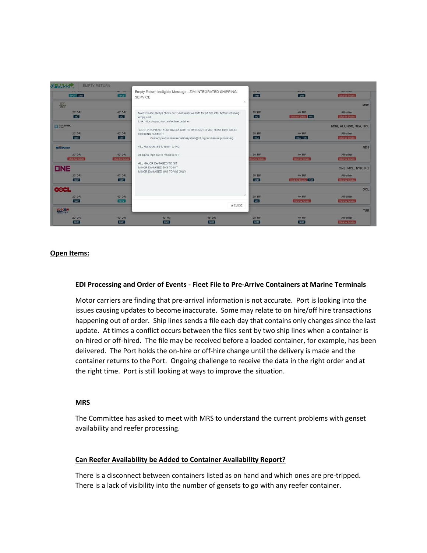| <b>EMPTY RETURN</b>         |                                    |                                                                                                                 |                                                                   |                               |                                    |                                                 |
|-----------------------------|------------------------------------|-----------------------------------------------------------------------------------------------------------------|-------------------------------------------------------------------|-------------------------------|------------------------------------|-------------------------------------------------|
| <b>PPCY SNIT</b>            | <b>HUTGIN</b><br><b>PPCY</b>       | Empty Return Ineligible Message - ZIM INTEGRATED SHIPPING<br><b>SERVICE</b>                                     |                                                                   | <b>WWW.FEE</b><br><b>SNIT</b> | <b>WAS STATE</b><br>SNIT           | <b>PULL MALLAST</b><br><b>Click for Details</b> |
| 圆                           |                                    |                                                                                                                 | $\times$                                                          |                               | <b>MSC</b>                         |                                                 |
| 20' DR<br>ViG.              | 40' DR<br><b>WG</b>                | Note: Please always check our E-container website for off hire info, before returning<br>empty unit.            |                                                                   | 20° RF<br>$V$ G               | 40° RF<br>Click for Details   VIG  | All other<br><b>Click for Details</b>           |
| <b>EX MAERSK</b>            |                                    | Link: https://www.zim.com/tools/econtainer<br>"CICU" PRE-FIXED FLAT RACKS ARE TO RETURN TO VIG: MUST have VALID |                                                                   |                               |                                    | MSK, ALI, HSD, SEA, SCL                         |
| $20'$ DR<br>SNT             | 40' DR<br>SNIT                     | BOOKING NUMBER                                                                                                  | Contact povtruckerreservationsystem@vit.org for manual processing | 20° RF<br><b>RSA</b>          | 40° RF<br>RSA VIG                  | All other<br><b>Glick for Details</b>           |
| <b>NileDutch</b>            |                                    | ALL Flat racks are to return to VIG                                                                             |                                                                   |                               |                                    | <b>NDS</b>                                      |
| 20° DR<br>Click for Details | 40' DR<br><b>Click for Details</b> | All Open Tops are to return to NIT                                                                              |                                                                   | 20' RF<br>lick for Details    | 40° RF<br><b>Click for Details</b> | All other<br><b>Click for Details</b>           |
| <b>DNE</b>                  |                                    | ALL MAJOR DAMAGES TO NIT<br>MINOR DAMAGED 20'S TO NIT<br>MINOR DAMAGED 40'S TO VIG ONLY                         |                                                                   |                               |                                    | ONE, MOL, NYK, KLI                              |
| 20' DR<br>SNIT.             | 40' DR<br>SNIT <sub>1</sub>        |                                                                                                                 |                                                                   | 20° RF<br>SNIT                | 40° RF<br>Click for Details RSA    | All other<br>Click for Details                  |
| <b>OOCL</b>                 |                                    |                                                                                                                 |                                                                   |                               |                                    | OOL                                             |
| 20° DR<br>SNST              | 40° DR<br><b>PPCY</b>              |                                                                                                                 |                                                                   | 20' RF<br><b>ViG</b>          | 40° RF<br><b>Click for Details</b> | All other<br><b>Click for Details</b>           |
| TURGEN                      |                                    |                                                                                                                 | <b>x</b> CLOSE                                                    |                               |                                    | <b>TUR</b>                                      |
| 20' DR<br>NNIT              | 40' DR<br><b>NNIT</b>              | 40° HC<br>NNIT                                                                                                  | 45' DR<br>NNIT                                                    | 20° RF<br>NNIT                | 40° RF<br>NNIT                     | All other<br><b>Click for Details</b>           |

#### **Open Items:**

#### **EDI Processing and Order of Events - Fleet File to Pre-Arrive Containers at Marine Terminals**

Motor carriers are finding that pre-arrival information is not accurate. Port is looking into the issues causing updates to become inaccurate. Some may relate to on hire/off hire transactions happening out of order. Ship lines sends a file each day that contains only changes since the last update. At times a conflict occurs between the files sent by two ship lines when a container is on-hired or off-hired. The file may be received before a loaded container, for example, has been delivered. The Port holds the on-hire or off-hire change until the delivery is made and the container returns to the Port. Ongoing challenge to receive the data in the right order and at the right time. Port is still looking at ways to improve the situation.

#### **MRS**

The Committee has asked to meet with MRS to understand the current problems with genset availability and reefer processing.

#### **Can Reefer Availability be Added to Container Availability Report?**

There is a disconnect between containers listed as on hand and which ones are pre-tripped. There is a lack of visibility into the number of gensets to go with any reefer container.